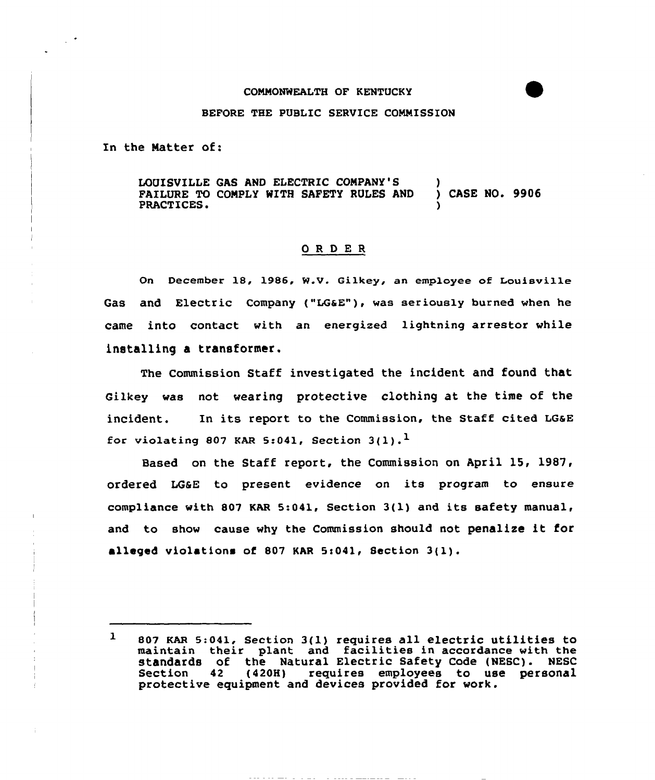#### COMMONWEALTH OF KENTUCKY

## BEFORE THE PUBLIC SERVICE COMMISSION

In the Natter of:

LOUISVILLE GAS AND ELECTRIC COMPANY'S )<br>FAILURE TO COMPLY WITH SAFETY RULES AND ) CASE NO. 9906 FAILURE TO COMPLY WITH SAFETY RULES AND PRACTICES.

## ORDER

On December 18, 1986, W.V. Gilkey, an employee of Louisville Gas and Electric Company ("LG6E"), was seriously burned when he came into contact with an energized lightning arrestor while installing a transformer.

The Commission Staff investigated the incident and found that Gilkey was not wearing protective clothing at the time of the incident. In its report to the commission, the staff cited LGaE for violating 807 KAR 5:041, Section  $3(1)$ .

Based on the Staff report, the Commission on April 15, 1987, ordered L66E to present evidence on its program to ensure compliance with 807 KAR 5:041, Section 3(l) and its safety manual, and to show cause why the Commission should not penalise it for alleged violations of 807 KAR 5:041, Section  $3(1)$ .

<sup>807</sup> KAR 5:041, section 3(l) requires all electric utilities to 1 maintain their plant and facilities in accordance with the standards of the Natural Electric Safety Code (NESC). NESC<br>Section 42 (420H) requires employees to use personal requires employees to use personal protective equipment and devices provided for work.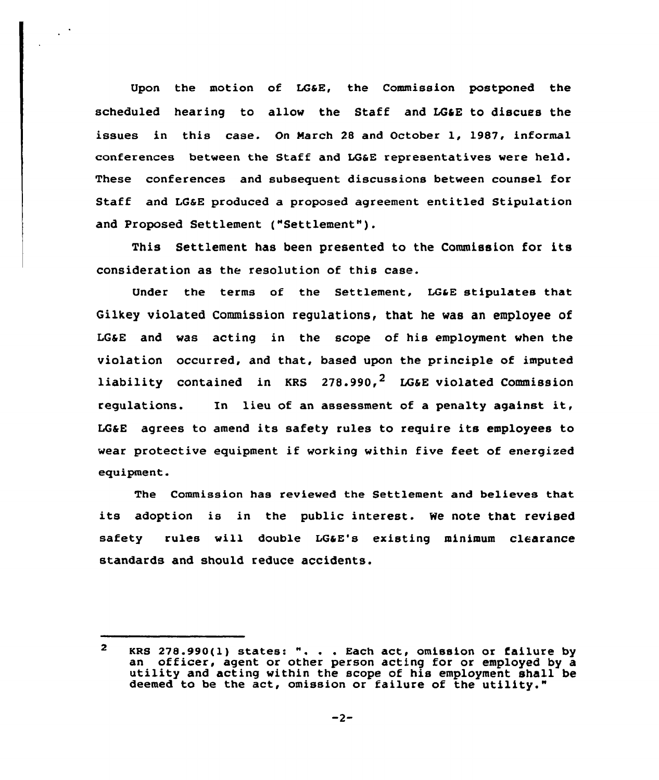Upon the motion of LGSE, the Commission postponed the scheduled hearing to allow the Staff and LG&E to discuss the issues in this case. On March <sup>28</sup> and October 1, 1987, informal conferences between the Staff and LG6E representatives were held. These conferences and subsequent discussions between counsel for Staff and LGaE produced a proposed agreement entitled Stipulation and Proposed Settlement ("Settlement" ).

 $\mathbb{R}^3$ 

This Settlement has been presented to the Commission for its consideration as the resolution of this case.

Under the terms of the Settlement, LGaE stipulates that Gilkey violated Commission regulations, that he was an employee of LG6E and was acting in the scope of his employment when the violation occurred, and that, based upon the principle of imputed liability contained in KRS  $278.990<sup>2</sup>$  LG&E violated Commission regulations. In lieu of an assessment of <sup>a</sup> penalty against it, LGaE agrees to amend its safety rules to require its employees to wear protective equipment if working within five feet of energized equipment.

The Commission has reviewed the Settlement and believes that its adoption is in the public interest. We note that revised safety rules will double LG&E's existing minimum clearance standards and should reduce accidents.

 $\overline{2}$ KRS 278.990(l) states: ". . . Each act, omission or failure by an officer, agent or other person acting for or employed by a utility and acting within the scope of his employment shall be deemed to be the act, omission or failure of the utility."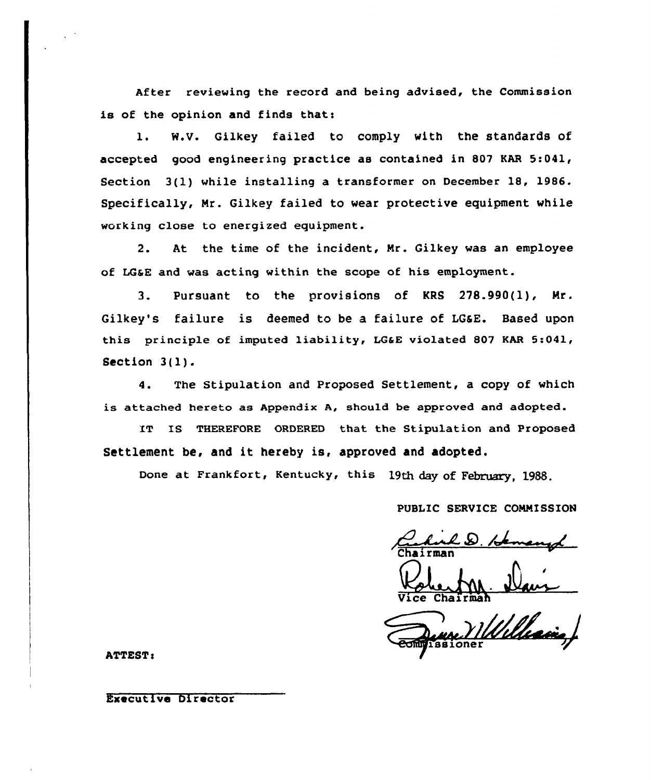After reviewing the record and being advised, the Commission is of the opinion and finds that:

1. W.V. Gilkey failed to comply with the standards of accepted good engineering practice as contained in 807 KAR 5:041, Section 3(1) while installing a transformer on December 18, 1986. Specifically, Mr. Gilkey failed to wear protective equipment while working close to energized equipment.

2. At the time of the incident, Mr. Gilkey was an employee of LGaE and was acting within the scope of his employment.

3. Pursuant to the provisions of KRS 278.990(l), Mr. Gilkey's failure is deemed to be a failure of LG&E. Based upon this principle of imputed liability, LG&E violated 807 KAR 5:041, Section 3(l) .

4. The Stipulation and Proposed Settlement, a copy of which is attached hereto as Appendix A, should be approved and adopted.

IT IS THEREFORE ORDERED that the Stipulation and Proposed Settlement be, and it hereby is, approved and adopted.

Done at Frankfort, Kentucky, this 19th day of February, 1988.

## PUBLIC SERVICE COMMISSION

Chairman b. Hemany

Vice Chairma

**ATTEST:** 

## Executive Director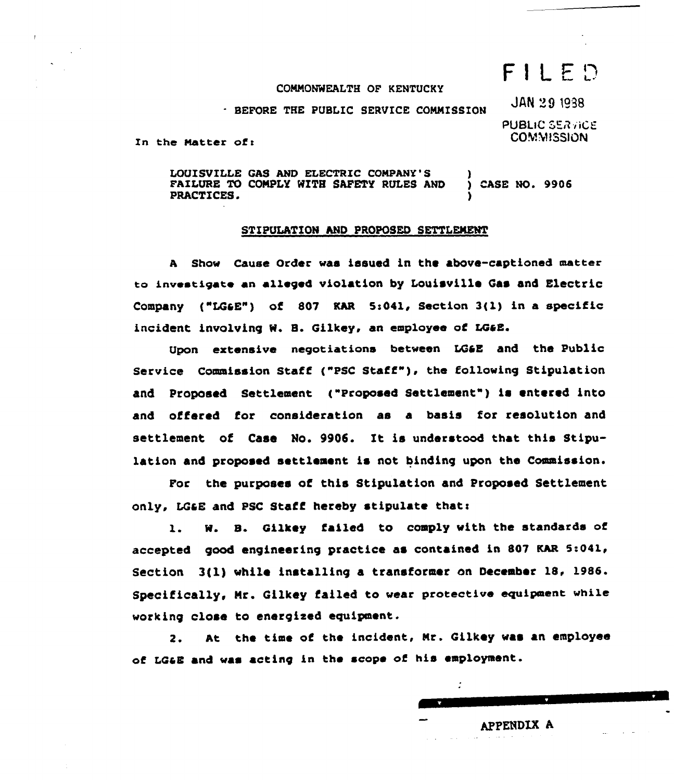# $F1LED$

**JAN 29 1938** 

## COMMONWEALTH OF KENTUCKY

BEFORE THE PUBLIC SERVICE COMMISSION

PUBLIC SERVICE **COMMISSION** 

APPENDIX A

 $\overline{\phantom{a}}$ 

In the Matter of:

LOUISVILLE GAS ANb ELECTRIC COMPANY'S FAILURE TO COMPLY WITH SAFETY RULES AND PRACTICES. ) ) CASE NO. 9906 )

### STIPULATION AND PROPOSED SETTLEMENT

<sup>A</sup> Show Cause Order was issued in the above-captioned matter to investigate an alleged violation by Louisville Gas and Electric Company ("LG6E") of 807 KAR 5:041, Section  $3(1)$  in a specific incident involving W. B. Gilkey, an employee of LG&E.

Upon extensive negotiations between LQ&E and the Public Service Commission Staff ("PSC Staff" ), the following Stipulation and Proposed Settlement ("Proposed Settlement") is entered into and offered for consideration as a basis for resolution and settlement of Case No. 9906. It is understood that this Stipulation and proposed settlement is not binding upon the Commission.

For the purposes of this Stipulation and Proposed Settlement only, LG&E and PSC Staff hereby stipulate that:

l. M. 8. Gilkey failed to comply with the standards of accepted good engineering practice as contained in 807 KAR 5:041, Section 3(l) while installing a transformer on December 18, 1986. Specifically, Nr. Qilkey failed to wear protective equipment while working close to energized equipment.

2. At the time of the incident, Mr. Qilkey was an employee of LCaE and was acting in the scope of his employment.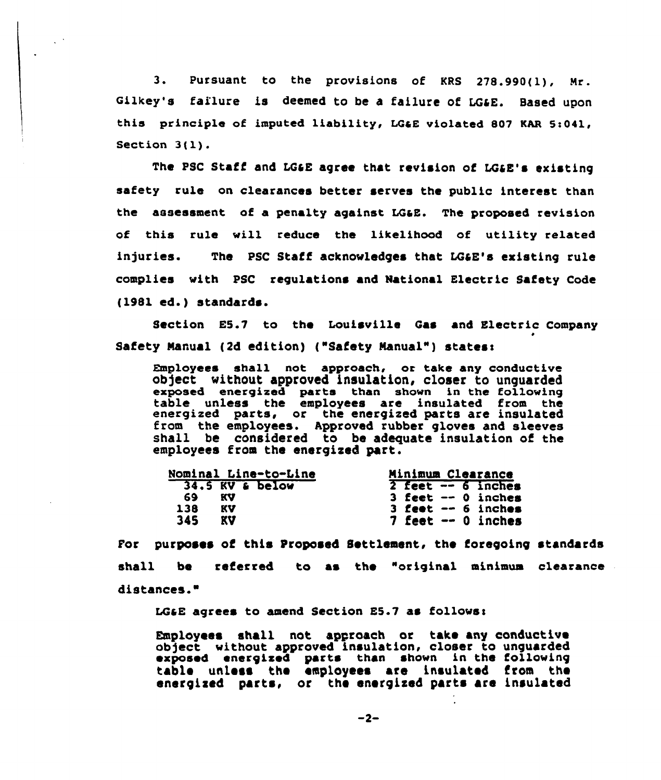3. Pursuant to the provisions of KRS 278.990(l), Nr. Gilkey's failure is deemed to be a failure of LG&E. Based upon this principle of imputed liability, LG&E violated 807 KAR 5:041, Section 3(l).

The PSC Staff and LG&E agree that revision of LG&E's existing safety rule on clearances better serves the public interest than the assessment of a penalty against LGaE. The proposed revision of this rule will reduce the likelihood of utility related injuries. The PSC Staff acknowledges that LG&E's existing rule complies with PSC regulations and National Electric Safety Code (1981 ed.) standards.

Section E5.7 to the Louisville Gas and Electric Company Safety Manual (2d edition) ("Safety Manual") states:

 $Emplovees$  shall not approach, or take any conductive ob)ect without approved insulation, closer to unguarded exposed energized parts than shown in the following table unless the employees are insulated from the energized parts, or the energized parts are insulate from the employees. Approved rubber gloves and sleeves shall be considered to be adequate insulation of the employees from the energized part.

| Nominal Line-to-Line |    |                 | Minimum Clearance    |
|----------------------|----|-----------------|----------------------|
|                      |    | 34.5 KV & below | $2$ feet $-6$ inches |
| 69.                  | KV |                 | $3$ feet $-0$ inches |
| 138                  | KV |                 | $3$ feet $-6$ inches |
| 345                  | KV |                 | $7$ feet $-0$ inches |

For purposes of this Proposed Settlement, the foregoing standards shall be referred to as the "original minimum clearance distances."

LG&E agrees to amend Section  $E5.7$  as follows:

Employees shall not approach or take any conductive object without approved insulation, closer to unguarde exposed energized parts than shown in the following table unlese the employees are insulated from the energized parts, or the energized parts are insulated

 $-2-$